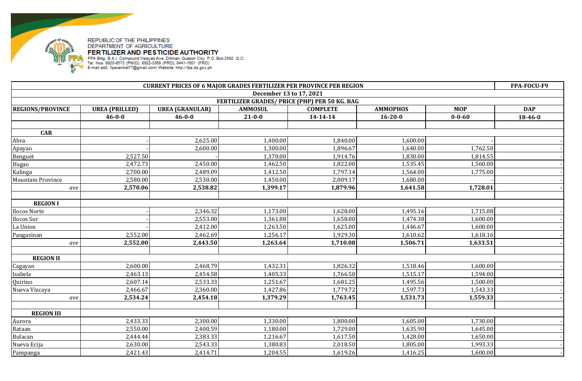

| <b>CURRENT PRICES OF 6 MAJOR GRADES FERTILIZER PER PROVINCE PER REGION</b> |                       |                        |                |                 |                 |              |               |  |
|----------------------------------------------------------------------------|-----------------------|------------------------|----------------|-----------------|-----------------|--------------|---------------|--|
| December 13 to 17, 2021                                                    |                       |                        |                |                 |                 |              |               |  |
| FERTILIZER GRADES/ PRICE (PHP) PER 50 KG. BAG                              |                       |                        |                |                 |                 |              |               |  |
| <b>REGIONS/PROVINCE</b>                                                    | <b>UREA (PRILLED)</b> | <b>UREA (GRANULAR)</b> | <b>AMMOSUL</b> | <b>COMPLETE</b> | <b>AMMOPHOS</b> | <b>MOP</b>   | <b>DAP</b>    |  |
|                                                                            | $46 - 0 - 0$          | $46 - 0 - 0$           | $21 - 0 - 0$   | $14 - 14 - 14$  | $16 - 20 - 0$   | $0 - 0 - 60$ | $18 - 46 - 0$ |  |
|                                                                            |                       |                        |                |                 |                 |              |               |  |
| <b>CAR</b>                                                                 |                       |                        |                |                 |                 |              |               |  |
| Abra                                                                       |                       | 2,625.00               | 1,400.00       | 1,840.00        | 1,600.00        |              |               |  |
| Apayao                                                                     |                       | 2,600.00               | 1,300.00       | 1,896.67        | 1,640.00        | 1,762.50     |               |  |
| Benguet                                                                    | 2,527.50              |                        | 1,370.00       | 1,914.76        | 1,830.00        | 1,814.55     |               |  |
| Ifugao                                                                     | 2,472.73              | 2,450.00               | 1,462.50       | 1,822.00        | 1,535.45        | 1,560.00     |               |  |
| Kalinga                                                                    | 2,700.00              | 2,489.09               | 1,412.50       | 1,797.14        | 1,564.00        | 1,775.00     |               |  |
| <b>Mountain Province</b>                                                   | 2,580.00              | 2,530.00               | 1,450.00       | 2,009.17        | 1,680.00        |              |               |  |
| ave                                                                        | 2,570.06              | 2,538.82               | 1,399.17       | 1,879.96        | 1,641.58        | 1,728.01     |               |  |
|                                                                            |                       |                        |                |                 |                 |              |               |  |
| <b>REGION I</b>                                                            |                       |                        |                |                 |                 |              |               |  |
| Ilocos Norte                                                               |                       | 2,346.32               | 1,173.00       | 1,628.00        | 1,495.16        | 1,715.88     |               |  |
| Ilocos Sur                                                                 |                       | 2,553.00               | 1,361.88       | 1,658.00        | 1,474.38        | 1,600.00     |               |  |
| La Union                                                                   |                       | 2,412.00               | 1,263.50       | 1,625.00        | 1,446.67        | 1,600.00     |               |  |
| Pangasinan                                                                 | 2,552.00              | 2,462.69               | 1,256.17       | 1,929.30        | 1,610.62        | 1,618.16     |               |  |
| ave                                                                        | 2,552.00              | 2,443.50               | 1,263.64       | 1,710.08        | 1,506.71        | 1,633.51     |               |  |
|                                                                            |                       |                        |                |                 |                 |              |               |  |
| <b>REGION II</b>                                                           |                       |                        |                |                 |                 |              |               |  |
| Cagayan                                                                    | 2,600.00              | 2,468.79               | 1,432.31       | 1,826.32        | 1,518.46        | 1,600.00     |               |  |
| Isabela                                                                    | 2,463.13              | 2,454.58               | 1,405.33       | 1,766.50        | 1,515.17        | 1,594.00     |               |  |
| Quirino                                                                    | 2,607.14              | 2,533.33               | 1,251.67       | 1,681.25        | 1,495.56        | 1,500.00     |               |  |
| Nueva Vizcaya                                                              | 2,466.67              | 2,360.00               | 1,427.86       | 1,779.72        | 1,597.73        | 1,543.33     |               |  |
| ave                                                                        | 2,534.24              | 2,454.18               | 1,379.29       | 1,763.45        | 1,531.73        | 1,559.33     |               |  |
|                                                                            |                       |                        |                |                 |                 |              |               |  |
| <b>REGION III</b>                                                          |                       |                        |                |                 |                 |              |               |  |
| Aurora                                                                     | 2,433.33              | 2,300.00               | 1,330.00       | 1,800.00        | 1,605.00        | 1,730.00     |               |  |
| Bataan                                                                     | 2,550.00              | 2,400.59               | 1,180.00       | 1,729.00        | 1,635.90        | 1,645.00     |               |  |
| Bulacan                                                                    | 2,444.44              | 2,383.33               | 1,216.67       | 1,617.50        | 1,428.00        | 1,650.00     |               |  |
| Nueva Ecija                                                                | 2,630.00              | 2,543.33               | 1,380.83       | 2,018.50        | 1,805.00        | 1,993.33     |               |  |
| Pampanga                                                                   | 2,421.43              | 2,414.71               | 1,204.55       | 1,619.26        | 1,416.25        | 1,600.00     |               |  |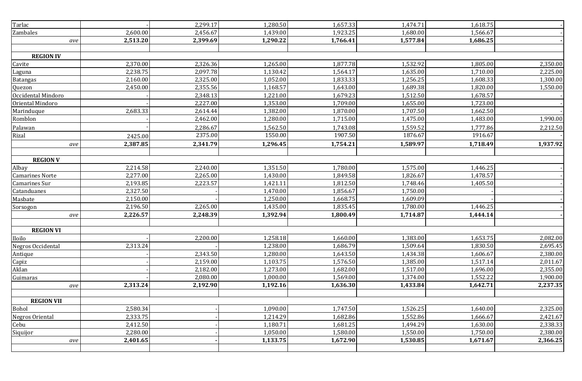| Tarlac                 |          | 2,299.17 | 1,280.50 | 1,657.33 | 1,474.71 | 1,618.75 |          |
|------------------------|----------|----------|----------|----------|----------|----------|----------|
| Zambales               | 2,600.00 | 2,456.67 | 1,439.00 | 1,923.25 | 1,680.00 | 1,566.67 |          |
| ave                    | 2,513.20 | 2,399.69 | 1,290.22 | 1,766.41 | 1,577.84 | 1,686.25 |          |
|                        |          |          |          |          |          |          |          |
| <b>REGION IV</b>       |          |          |          |          |          |          |          |
| Cavite                 | 2,370.00 | 2,326.36 | 1,265.00 | 1,877.78 | 1,532.92 | 1,805.00 | 2,350.00 |
| Laguna                 | 2,238.75 | 2,097.78 | 1,130.42 | 1,564.17 | 1,635.00 | 1,710.00 | 2,225.00 |
| <b>Batangas</b>        | 2,160.00 | 2,325.00 | 1,052.00 | 1,833.33 | 1,256.25 | 1,608.33 | 1,300.00 |
| Quezon                 | 2,450.00 | 2,355.56 | 1,168.57 | 1,643.00 | 1,689.38 | 1,820.00 | 1,550.00 |
| Occidental Mindoro     |          | 2,348.13 | 1,221.00 | 1,679.23 | 1,512.50 | 1,678.57 |          |
| Oriental Mindoro       |          | 2,227.00 | 1,353.00 | 1,709.00 | 1,655.00 | 1,723.00 |          |
| Marinduque             | 2,683.33 | 2,614.44 | 1,382.00 | 1,870.00 | 1,707.50 | 1,662.50 |          |
| Romblon                |          | 2,462.00 | 1,280.00 | 1,715.00 | 1,475.00 | 1,483.00 | 1,990.00 |
| Palawan                |          | 2,286.67 | 1,562.50 | 1,743.08 | 1,559.52 | 1,777.86 | 2,212.50 |
| Rizal                  | 2425.00  | 2375.00  | 1550.00  | 1907.50  | 1876.67  | 1916.67  |          |
| ave                    | 2,387.85 | 2,341.79 | 1,296.45 | 1,754.21 | 1,589.97 | 1,718.49 | 1,937.92 |
|                        |          |          |          |          |          |          |          |
| <b>REGION V</b>        |          |          |          |          |          |          |          |
| Albay                  | 2,214.58 | 2,240.00 | 1,351.50 | 1,780.00 | 1,575.00 | 1,446.25 |          |
| <b>Camarines Norte</b> | 2,277.00 | 2,265.00 | 1,430.00 | 1,849.58 | 1,826.67 | 1,478.57 |          |
| Camarines Sur          | 2,193.85 | 2,223.57 | 1,421.11 | 1,812.50 | 1,748.46 | 1,405.50 |          |
| Catanduanes            | 2,327.50 |          | 1,470.00 | 1,856.67 | 1,750.00 |          |          |
| Masbate                | 2,150.00 |          | 1,250.00 | 1,668.75 | 1,609.09 |          |          |
| Sorsogon               | 2,196.50 | 2,265.00 | 1,435.00 | 1,835.45 | 1,780.00 | 1,446.25 |          |
| ave                    | 2,226.57 | 2,248.39 | 1,392.94 | 1,800.49 | 1,714.87 | 1,444.14 |          |
|                        |          |          |          |          |          |          |          |
| <b>REGION VI</b>       |          |          |          |          |          |          |          |
| Iloilo                 |          | 2,200.00 | 1,258.18 | 1,660.00 | 1,383.00 | 1,653.75 | 2,082.00 |
| Negros Occidental      | 2,313.24 |          | 1,238.00 | 1,686.79 | 1,509.64 | 1,830.50 | 2,695.45 |
| Antique                |          | 2,343.50 | 1,280.00 | 1,643.50 | 1,434.38 | 1,606.67 | 2,380.00 |
| Capiz                  |          | 2,159.00 | 1,103.75 | 1,576.50 | 1,385.00 | 1,517.14 | 2,011.67 |
| Aklan                  |          | 2,182.00 | 1,273.00 | 1,682.00 | 1,517.00 | 1,696.00 | 2,355.00 |
| Guimaras               |          | 2,080.00 | 1,000.00 | 1,569.00 | 1,374.00 | 1,552.22 | 1,900.00 |
| ave                    | 2,313.24 | 2,192.90 | 1,192.16 | 1,636.30 | 1,433.84 | 1,642.71 | 2,237.35 |
|                        |          |          |          |          |          |          |          |
| <b>REGION VII</b>      |          |          |          |          |          |          |          |
| Bohol                  | 2,580.34 |          | 1,090.00 | 1,747.50 | 1,526.25 | 1,640.00 | 2,325.00 |
| Negros Oriental        | 2,333.75 |          | 1,214.29 | 1,682.86 | 1,552.86 | 1,666.67 | 2,421.67 |
| Cebu                   | 2,412.50 |          | 1,180.71 | 1,681.25 | 1,494.29 | 1,630.00 | 2,338.33 |
| Siquijor               | 2,280.00 |          | 1,050.00 | 1,580.00 | 1,550.00 | 1,750.00 | 2,380.00 |
| ave                    | 2,401.65 |          | 1,133.75 | 1,672.90 | 1,530.85 | 1,671.67 | 2,366.25 |
|                        |          |          |          |          |          |          |          |
|                        |          |          |          |          |          |          |          |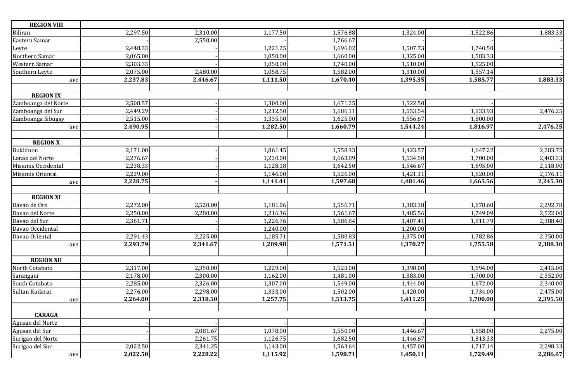| <b>REGION VIII</b>  |          |          |                       |          |          |          |          |
|---------------------|----------|----------|-----------------------|----------|----------|----------|----------|
| Biliran             | 2,297.50 | 2,310.00 | 1,177.50              | 1,576.88 | 1,324.00 | 1,522.86 | 1,883.33 |
| Eastern Samar       |          | 2,550.00 |                       | 1,766.67 |          |          |          |
| Leyte               | 2,448.33 |          | 1,221.25              | 1,696.82 | 1,507.73 | 1,740.50 |          |
| Northern Samar      | 2,065.00 |          | 1,050.00              | 1,660.00 | 1,325.00 | 1,583.33 |          |
| Western Samar       | 2,303.33 |          | 1,050.00              | 1,740.00 | 1,510.00 | 1,525.00 |          |
| Southern Leyte      | 2,075.00 | 2,480.00 | 1,058.75              | 1,582.00 | 1,310.00 | 1,557.14 |          |
| ave                 | 2,237.83 | 2,446.67 | 1,111.50              | 1,670.40 | 1,395.35 | 1,585.77 | 1,883.33 |
|                     |          |          |                       |          |          |          |          |
| <b>REGION IX</b>    |          |          |                       |          |          |          |          |
| Zamboanga del Norte | 2,508.57 |          | 1,300.00              | 1,671.25 | 1,522.50 |          |          |
| Zamboanga del Sur   | 2,449.29 |          | 1,212.50              | 1,686.11 | 1,553.54 | 1,833.93 | 2,476.25 |
| Zamboanga Sibugay   | 2,515.00 |          | 1,335.00              | 1,625.00 | 1,556.67 | 1,800.00 |          |
| ave                 | 2,490.95 |          | 1,282.50              | 1,660.79 | 1,544.24 | 1,816.97 | 2,476.25 |
|                     |          |          |                       |          |          |          |          |
| <b>REGION X</b>     |          |          |                       |          |          |          |          |
| Bukidnon            | 2,171.00 |          | 1,061.45              | 1,558.33 | 1,423.57 | 1,647.22 | 2,283.75 |
| Lanao del Norte     | 2,276.67 |          | 1,230.00              | 1,663.89 | 1,534.50 | 1,700.00 | 2,403.33 |
| Misamis Occidental  | 2,238.33 |          | 1,128.18              | 1,642.50 | 1,546.67 | 1,695.00 | 2,118.00 |
| Misamis Oriental    | 2,229.00 |          | 1,146.00              | 1,526.00 | 1,421.11 | 1,620.00 | 2,176.11 |
| ave                 | 2,228.75 |          | 1,141.41              | 1,597.68 | 1,481.46 | 1,665.56 | 2,245.30 |
|                     |          |          |                       |          |          |          |          |
| <b>REGION XI</b>    |          |          |                       |          |          |          |          |
| Davao de Oro        | 2,272.00 | 2,520.00 | 1,181.06              | 1,556.71 | 1,383.38 | 1,678.60 | 2,292.78 |
| Davao del Norte     | 2,250.00 | 2,280.00 | 1,216.36              | 1,561.67 | 1,485.56 | 1,749.09 | 2,522.00 |
| Davao del Sur       | 2,361.71 |          | 1,226.76              | 1,586.84 | 1,407.41 | 1,811.79 | 2,388.40 |
| Davao Occidental    |          |          | 1,240.00              |          | 1,200.00 |          |          |
| Davao Oriental      | 2,291.43 | 2,225.00 | 1,185.71              | 1,580.83 | 1,375.00 | 1,782.86 | 2,350.00 |
| ave                 | 2,293.79 | 2,341.67 | 1,209.98              | 1,571.51 | 1,370.27 | 1,755.58 | 2,388.30 |
|                     |          |          |                       |          |          |          |          |
| <b>REGION XII</b>   |          |          |                       |          |          |          |          |
| North Cotabato      | 2,317.00 | 2,350.00 | 1,229.00              | 1,523.00 | 1,398.00 | 1,694.00 | 2,415.00 |
| Sarangani           | 2,178.00 | 2,300.00 | 1,162.00              | 1,481.00 | 1,383.00 | 1,700.00 | 2,352.00 |
| South Cotabato      | 2,285.00 | 2,326.00 | $1,307.\overline{00}$ | 1,549.00 | 1,444.00 | 1,672.00 | 2,340.00 |
| Sultan Kudarat      | 2,276.00 | 2,298.00 | 1,333.00              | 1,502.00 | 1,420.00 | 1,734.00 | 2,475.00 |
| ave                 | 2,264.00 | 2,318.50 | 1,257.75              | 1,513.75 | 1,411.25 | 1,700.00 | 2,395.50 |
|                     |          |          |                       |          |          |          |          |
| <b>CARAGA</b>       |          |          |                       |          |          |          |          |
| Agusan del Norte    |          |          |                       |          |          |          |          |
| Agusan del Sur      |          | 2,081.67 | 1,078.00              | 1,550.00 | 1,446.67 | 1,658.00 | 2,275.00 |
| Surigao del Norte   |          | 2,261.75 | 1,126.75              | 1,682.50 | 1,446.67 | 1,813.33 |          |
| Surigao del Sur     | 2,022.50 | 2,341.25 | 1,143.00              | 1,563.64 | 1,457.00 | 1,717.14 | 2,298.33 |
| ave                 | 2,022.50 | 2,228.22 | 1,115.92              | 1,598.71 | 1,450.11 | 1,729.49 | 2,286.67 |